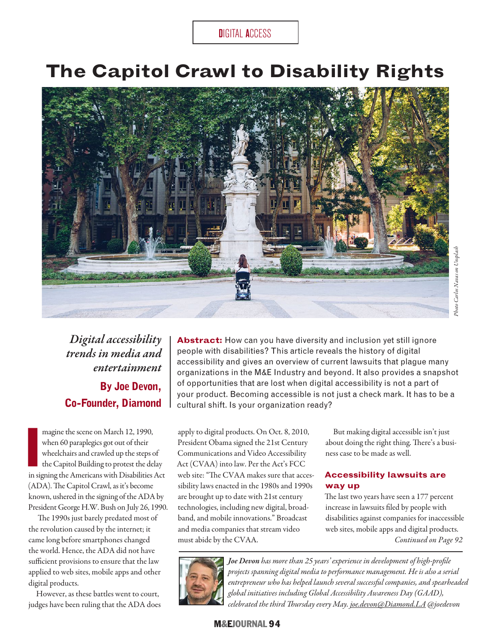DIGITAL ACCESS

# **The Capitol Crawl to Disability Rights**



*Digital accessibility trends in media and entertainment* **By Joe Devon, Co-Founder, Diamond**

magine the scene on March 12, 1990,<br>
when 60 paraplegics got out of their<br>
wheelchairs and crawled up the steps of<br>
the Capitol Building to protest the delay<br>
in signing the Americans with Disabilities Act magine the scene on March 12, 1990, when 60 paraplegics got out of their wheelchairs and crawled up the steps of the Capitol Building to protest the delay (ADA). The Capitol Crawl, as it's become known, ushered in the signing of the ADA by President George H.W. Bush on July 26, 1990

The 1990s just barely predated most of the revolution caused by the internet; it came long before smartphones changed the world. Hence, the ADA did not have sufficient provisions to ensure that the law applied to web sites, mobile apps and other digital products.

However, as these battles went to court, judges have been ruling that the ADA does

Abstract: How can you have diversity and inclusion yet still ignore people with disabilities? This article reveals the history of digital accessibility and gives an overview of current lawsuits that plague many organizations in the M&E Industry and beyond. It also provides a snapshot of opportunities that are lost when digital accessibility is not a part of your product. Becoming accessible is not just a check mark. It has to be a cultural shift. Is your organization ready?

apply to digital products. On Oct. 8, 2010, President Obama signed the 21st Century Communications and Video Accessibility Act (CVAA) into law. Per the Act's FCC web site: "The CVAA makes sure that accessibility laws enacted in the 1980s and 1990s are brought up to date with 21st century . technologies, including new digital, broadband, and mobile innovations." Broadcast and media companies that stream video must abide by the CVAA.

But making digital accessible isn't just about doing the right thing. There's a business case to be made as well.

#### **Accessibility lawsuits are way up**

*Continued on Page 92* The last two years have seen a 177 percent increase in lawsuits fled by people with disabilities against companies for inaccessible web sites, mobile apps and digital products.



*Joe Devon has more than 25 years' experience in development of high-profle projects spanning digital media to performance management. He is also a serial entrepreneur who has helped launch several successful companies, and spearheaded global initiatives including Global Accessibility Awareness Day (GAAD), celebrated the third Tursday every May. [joe.devon@Diamond.LA](mailto:joe.devon@Diamond.LA) @joedevon*

### M&EJOURNAL 94